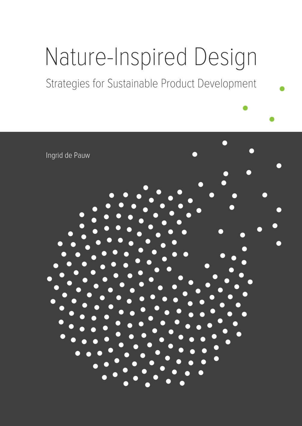# Nature-Inspired Design

Strategies for Sustainable Product Development

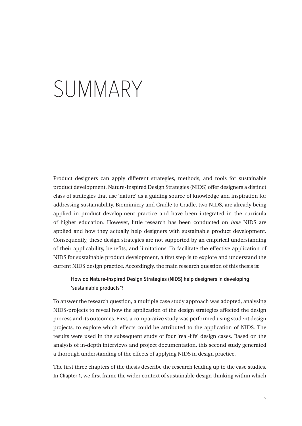# SUMMARY

Product designers can apply different strategies, methods, and tools for sustainable product development. Nature-Inspired Design Strategies (NIDS) offer designers a distinct class of strategies that use 'nature' as a guiding source of knowledge and inspiration for addressing sustainability. Biomimicry and Cradle to Cradle, two NIDS, are already being applied in product development practice and have been integrated in the curricula of higher education. However, little research has been conducted on *how* NIDS are applied and how they actually help designers with sustainable product development. Consequently, these design strategies are not supported by an empirical understanding of their applicability, benefits, and limitations. To facilitate the effective application of NIDS for sustainable product development, a first step is to explore and understand the current NIDS design practice. Accordingly, the main research question of this thesis is:

# **How do Nature-Inspired Design Strategies (NIDS) help designers in developing 'sustainable products'?**

To answer the research question, a multiple case study approach was adopted, analysing NIDS-projects to reveal how the application of the design strategies affected the design process and its outcomes. First, a comparative study was performed using student design projects, to explore which effects could be attributed to the application of NIDS. The results were used in the subsequent study of four 'real-life' design cases. Based on the analysis of in-depth interviews and project documentation, this second study generated a thorough understanding of the effects of applying NIDS in design practice.

The first three chapters of the thesis describe the research leading up to the case studies. In **Chapter 1**, we first frame the wider context of sustainable design thinking within which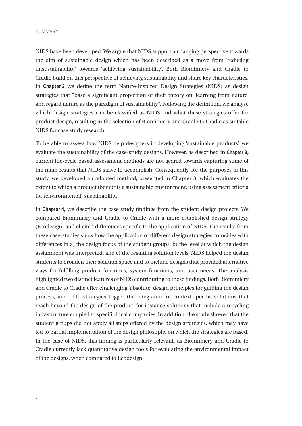#### SUMMARY

NIDS have been developed. We argue that NIDS support a changing perspective towards the aim of sustainable design which has been described as a move from 'reducing unsustainability' towards 'achieving sustainability'. Both Biomimicry and Cradle to Cradle build on this perspective of achieving sustainability and share key characteristics. In **Chapter 2** we define the term Nature-Inspired Design Strategies (NIDS) as design strategies that "base a significant proportion of their theory on 'learning from nature' and regard nature as the paradigm of sustainability". Following the definition, we analyse which design strategies can be classified as NIDS and what these strategies offer for product design, resulting in the selection of Biomimicry and Cradle to Cradle as suitable NIDS for case study research.

To be able to assess how NIDS help designers in developing 'sustainable products', we evaluate the sustainability of the case-study designs. However, as described in **Chapter 3,**  current life-cycle based assessment methods are not geared towards capturing some of the main results that NIDS strive to accomplish. Consequently, for the purposes of this study, we developed an adapted method, presented in Chapter 3, which evaluates the extent to which a product (bene)fits a sustainable environment, using assessment criteria for (environmental) sustainability.

In **Chapter 4**, we describe the case study findings from the student design projects. We compared Biomimicry and Cradle to Cradle with a more established design strategy (Ecodesign) and elicited differences specific to the application of NIDS. The results from these case-studies show how the application of different design strategies coincides with differences in a) the design focus of the student groups, b) the level at which the design assignment was interpreted, and c) the resulting solution levels. NIDS helped the design students to broaden their solution space and to include designs that provided alternative ways for fulfilling product functions, system functions, and user needs. The analysis highlighted two distinct features of NIDS contributing to these findings. Both Biomimicry and Cradle to Cradle offer challenging 'absolute' design principles for guiding the design process, and both strategies trigger the integration of context-specific solutions that reach beyond the design of the product, for instance solutions that include a recycling infrastructure coupled to specific local companies. In addition, the study showed that the student groups did not apply all steps offered by the design strategies, which may have led to partial implementation of the design philosophy on which the strategies are based. In the case of NIDS, this finding is particularly relevant, as Biomimicry and Cradle to Cradle currently lack quantitative design tools for evaluating the environmental impact of the designs, when compared to Ecodesign.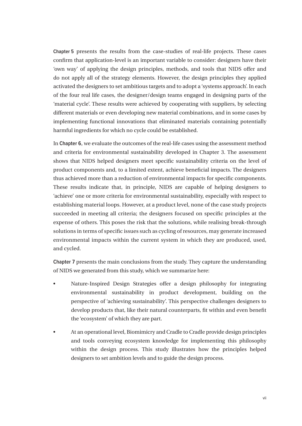**Chapter 5** presents the results from the case-studies of real-life projects. These cases confirm that application-level is an important variable to consider: designers have their 'own way' of applying the design principles, methods, and tools that NIDS offer and do not apply all of the strategy elements. However, the design principles they applied activated the designers to set ambitious targets and to adopt a 'systems approach'. In each of the four real life cases, the designer/design teams engaged in designing parts of the 'material cycle'. These results were achieved by cooperating with suppliers, by selecting different materials or even developing new material combinations, and in some cases by implementing functional innovations that eliminated materials containing potentially harmful ingredients for which no cycle could be established.

In **Chapter 6**, we evaluate the outcomes of the real-life cases using the assessment method and criteria for environmental sustainability developed in Chapter 3. The assessment shows that NIDS helped designers meet specific sustainability criteria on the level of product components and, to a limited extent, achieve beneficial impacts. The designers thus achieved more than a reduction of environmental impacts for specific components. These results indicate that, in principle, NIDS are capable of helping designers to 'achieve' one or more criteria for environmental sustainability, especially with respect to establishing material loops. However, at a product level, none of the case study projects succeeded in meeting all criteria; the designers focused on specific principles at the expense of others. This poses the risk that the solutions, while realising break-through solutions in terms of specific issues such as cycling of resources, may generate increased environmental impacts within the current system in which they are produced, used, and cycled.

**Chapter 7** presents the main conclusions from the study. They capture the understanding of NIDS we generated from this study, which we summarize here:

- Nature-Inspired Design Strategies offer a design philosophy for integrating environmental sustainability in product development, building on the perspective of 'achieving sustainability'. This perspective challenges designers to develop products that, like their natural counterparts, fit within and even benefit the 'ecosystem' of which they are part.
- At an operational level, Biomimicry and Cradle to Cradle provide design principles and tools conveying ecosystem knowledge for implementing this philosophy within the design process. This study illustrates how the principles helped designers to set ambition levels and to guide the design process.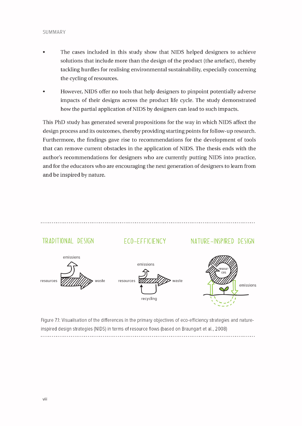#### SUMMARY

- The cases included in this study show that NIDS helped designers to achieve solutions that include more than the design of the product (the artefact), thereby tackling hurdles for realising environmental sustainability, especially concerning the cycling of resources.
- However, NIDS offer no tools that help designers to pinpoint potentially adverse impacts of their designs across the product life cycle. The study demonstrated how the partial application of NIDS by designers can lead to such impacts.

This PhD study has generated several propositions for the way in which NIDS affect the design process and its outcomes, thereby providing starting points for follow-up research. Furthermore, the findings gave rise to recommendations for the development of tools that can remove current obstacles in the application of NIDS. The thesis ends with the author's recommendations for designers who are currently putting NIDS into practice, and for the educators who are encouraging the next generation of designers to learn from and be inspired by nature.

### 

# TRADITIONAL DESIGN

# ECO-EFFICIENCY

## NATURE-INSPIRED DESIGN



Figure 7.1: Visualisation of the differences in the primary objectives of eco-efficiency strategies and natureinspired design strategies (NIDS) in terms of resource flows (based on Braungart et al., 2008)